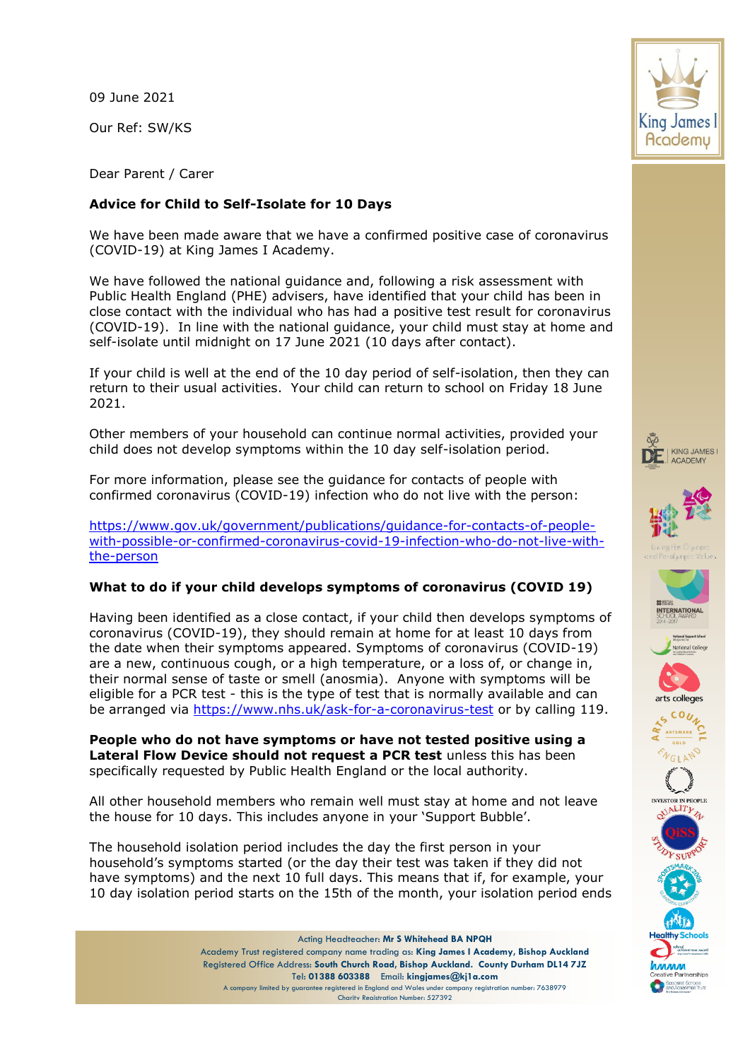09 June 2021

Our Ref: SW/KS

Dear Parent / Carer

# **Advice for Child to Self-Isolate for 10 Days**

We have been made aware that we have a confirmed positive case of coronavirus (COVID-19) at King James I Academy.

We have followed the national guidance and, following a risk assessment with Public Health England (PHE) advisers, have identified that your child has been in close contact with the individual who has had a positive test result for coronavirus (COVID-19). In line with the national guidance, your child must stay at home and self-isolate until midnight on 17 June 2021 (10 days after contact).

If your child is well at the end of the 10 day period of self-isolation, then they can return to their usual activities. Your child can return to school on Friday 18 June 2021.

Other members of your household can continue normal activities, provided your child does not develop symptoms within the 10 day self-isolation period.

For more information, please see the guidance for contacts of people with confirmed coronavirus (COVID-19) infection who do not live with the person:

[https://www.gov.uk/government/publications/guidance-for-contacts-of-people](https://www.gov.uk/government/publications/guidance-for-contacts-of-people-with-possible-or-confirmed-coronavirus-covid-19-infection-who-do-not-live-with-the-person)[with-possible-or-confirmed-coronavirus-covid-19-infection-who-do-not-live-with](https://www.gov.uk/government/publications/guidance-for-contacts-of-people-with-possible-or-confirmed-coronavirus-covid-19-infection-who-do-not-live-with-the-person)[the-person](https://www.gov.uk/government/publications/guidance-for-contacts-of-people-with-possible-or-confirmed-coronavirus-covid-19-infection-who-do-not-live-with-the-person)

# **What to do if your child develops symptoms of coronavirus (COVID 19)**

Having been identified as a close contact, if your child then develops symptoms of coronavirus (COVID-19), they should remain at home for at least 10 days from the date when their symptoms appeared. Symptoms of coronavirus (COVID-19) are a new, continuous cough, or a high temperature, or a loss of, or change in, their normal sense of taste or smell (anosmia). Anyone with symptoms will be eligible for a PCR test - this is the type of test that is normally available and can be arranged via<https://www.nhs.uk/ask-for-a-coronavirus-test> or by calling 119.

**People who do not have symptoms or have not tested positive using a Lateral Flow Device should not request a PCR test** unless this has been specifically requested by Public Health England or the local authority.

All other household members who remain well must stay at home and not leave the house for 10 days. This includes anyone in your 'Support Bubble'.

The household isolation period includes the day the first person in your household's symptoms started (or the day their test was taken if they did not have symptoms) and the next 10 full days. This means that if, for example, your 10 day isolation period starts on the 15th of the month, your isolation period ends

> Acting Headteacher: **Mr S Whitehead BA NPQH** Academy Trust registered company name trading as: **King James I Academy, Bishop Auckland** Registered Office Address: **South Church Road, Bishop Auckland. County Durham DL14 7JZ** Tel: **01388 603388** Email: **kingjames@kj1a.com** A company limited by guarantee registered in England and Wales under company registration number: 7638979 Charity Registration Number: 527392

















.<br>Specialist Schools<br>and Academies Trus